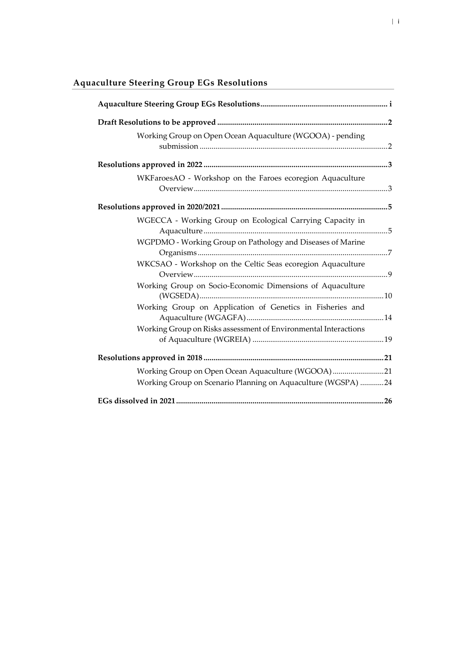| Working Group on Open Ocean Aquaculture (WGOOA) - pending       |  |
|-----------------------------------------------------------------|--|
|                                                                 |  |
| WKFaroesAO - Workshop on the Faroes ecoregion Aquaculture       |  |
|                                                                 |  |
| WGECCA - Working Group on Ecological Carrying Capacity in       |  |
| WGPDMO - Working Group on Pathology and Diseases of Marine      |  |
| WKCSAO - Workshop on the Celtic Seas ecoregion Aquaculture      |  |
| Working Group on Socio-Economic Dimensions of Aquaculture       |  |
| Working Group on Application of Genetics in Fisheries and       |  |
| Working Group on Risks assessment of Environmental Interactions |  |
|                                                                 |  |
| Working Group on Open Ocean Aquaculture (WGOOA) 21              |  |
| Working Group on Scenario Planning on Aquaculture (WGSPA) 24    |  |
|                                                                 |  |

# <span id="page-0-0"></span>**Aquaculture Steering Group EGs Resolutions**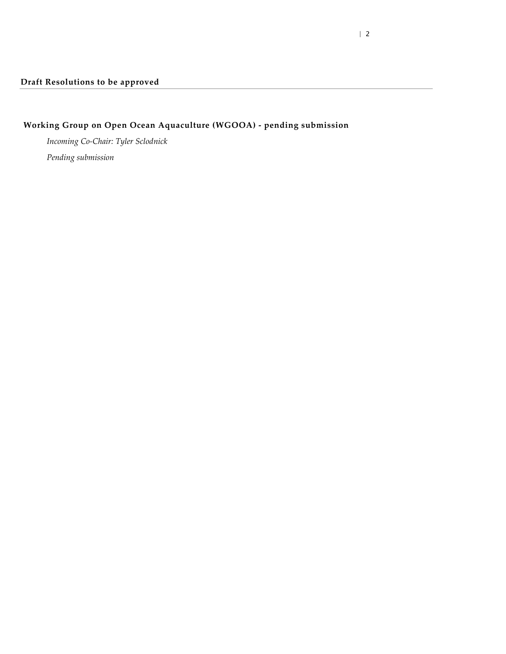# <span id="page-1-0"></span>**Working Group on Open Ocean Aquaculture (WGOOA) - pending submission**

*Incoming Co-Chair: Tyler Sclodnick*

<span id="page-1-1"></span>*Pending submission*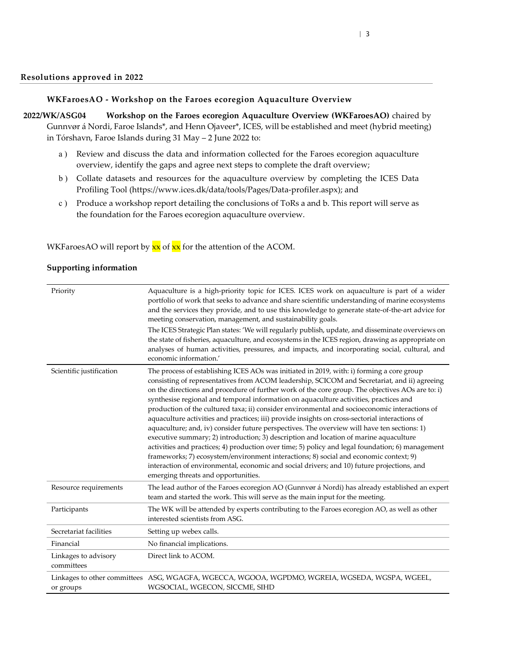#### **WKFaroesAO - Workshop on the Faroes ecoregion Aquaculture Overview**

<span id="page-2-0"></span>**2022/WK/ASG04 Workshop on the Faroes ecoregion Aquaculture Overview (WKFaroesAO)** chaired by Gunnvør á Nordi, Faroe Islands\*, and Henn Ojaveer\*, ICES, will be established and meet (hybrid meeting) in Tórshavn, Faroe Islands during 31 May – 2 June 2022 to:

- <span id="page-2-1"></span>a ) Review and discuss the data and information collected for the Faroes ecoregion aquaculture overview, identify the gaps and agree next steps to complete the draft overview;
- b ) Collate datasets and resources for the aquaculture overview by completing the ICES Data Profiling Tool (https://www.ices.dk/data/tools/Pages/Data-profiler.aspx); and
- c ) Produce a workshop report detailing the conclusions of ToRs a and b. This report will serve as the foundation for the Faroes ecoregion aquaculture overview.

WKFaroesAO will report by  $\frac{xx}{x}$  of  $\frac{xx}{x}$  for the attention of the ACOM.

| Priority                           | Aquaculture is a high-priority topic for ICES. ICES work on aquaculture is part of a wider<br>portfolio of work that seeks to advance and share scientific understanding of marine ecosystems<br>and the services they provide, and to use this knowledge to generate state-of-the-art advice for<br>meeting conservation, management, and sustainability goals.<br>The ICES Strategic Plan states: 'We will regularly publish, update, and disseminate overviews on<br>the state of fisheries, aquaculture, and ecosystems in the ICES region, drawing as appropriate on<br>analyses of human activities, pressures, and impacts, and incorporating social, cultural, and<br>economic information.'                                                                                                                                                                                                                                                                                                                                                                                                                |
|------------------------------------|---------------------------------------------------------------------------------------------------------------------------------------------------------------------------------------------------------------------------------------------------------------------------------------------------------------------------------------------------------------------------------------------------------------------------------------------------------------------------------------------------------------------------------------------------------------------------------------------------------------------------------------------------------------------------------------------------------------------------------------------------------------------------------------------------------------------------------------------------------------------------------------------------------------------------------------------------------------------------------------------------------------------------------------------------------------------------------------------------------------------|
| Scientific justification           | The process of establishing ICES AOs was initiated in 2019, with: i) forming a core group<br>consisting of representatives from ACOM leadership, SCICOM and Secretariat, and ii) agreeing<br>on the directions and procedure of further work of the core group. The objectives AOs are to: i)<br>synthesise regional and temporal information on aquaculture activities, practices and<br>production of the cultured taxa; ii) consider environmental and socioeconomic interactions of<br>aquaculture activities and practices; iii) provide insights on cross-sectorial interactions of<br>aquaculture; and, iv) consider future perspectives. The overview will have ten sections: 1)<br>executive summary; 2) introduction; 3) description and location of marine aquaculture<br>activities and practices; 4) production over time; 5) policy and legal foundation; 6) management<br>frameworks; 7) ecosystem/environment interactions; 8) social and economic context; 9)<br>interaction of environmental, economic and social drivers; and 10) future projections, and<br>emerging threats and opportunities. |
| Resource requirements              | The lead author of the Faroes ecoregion AO (Gunnvør á Nordi) has already established an expert<br>team and started the work. This will serve as the main input for the meeting.                                                                                                                                                                                                                                                                                                                                                                                                                                                                                                                                                                                                                                                                                                                                                                                                                                                                                                                                     |
| Participants                       | The WK will be attended by experts contributing to the Faroes ecoregion AO, as well as other<br>interested scientists from ASG.                                                                                                                                                                                                                                                                                                                                                                                                                                                                                                                                                                                                                                                                                                                                                                                                                                                                                                                                                                                     |
| Secretariat facilities             | Setting up webex calls.                                                                                                                                                                                                                                                                                                                                                                                                                                                                                                                                                                                                                                                                                                                                                                                                                                                                                                                                                                                                                                                                                             |
| Financial                          | No financial implications.                                                                                                                                                                                                                                                                                                                                                                                                                                                                                                                                                                                                                                                                                                                                                                                                                                                                                                                                                                                                                                                                                          |
| Linkages to advisory<br>committees | Direct link to ACOM.                                                                                                                                                                                                                                                                                                                                                                                                                                                                                                                                                                                                                                                                                                                                                                                                                                                                                                                                                                                                                                                                                                |
| or groups                          | Linkages to other committees ASG, WGAGFA, WGECCA, WGOOA, WGPDMO, WGREIA, WGSEDA, WGSPA, WGEEL,<br>WGSOCIAL, WGECON, SICCME, SIHD                                                                                                                                                                                                                                                                                                                                                                                                                                                                                                                                                                                                                                                                                                                                                                                                                                                                                                                                                                                    |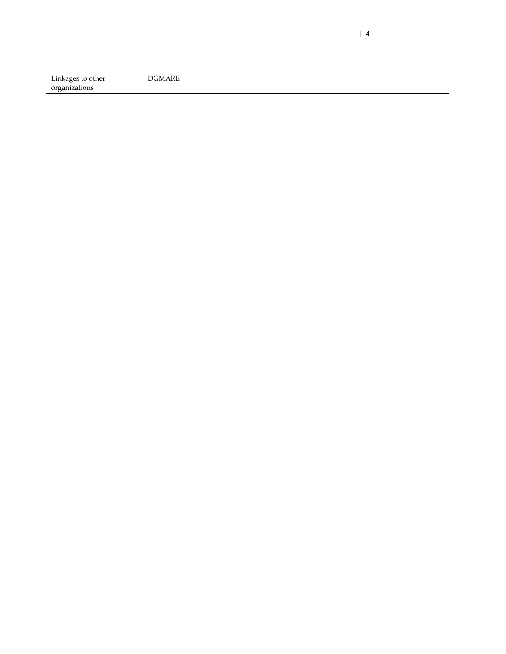| Linkages to other | DGMARE |
|-------------------|--------|
| organizations     |        |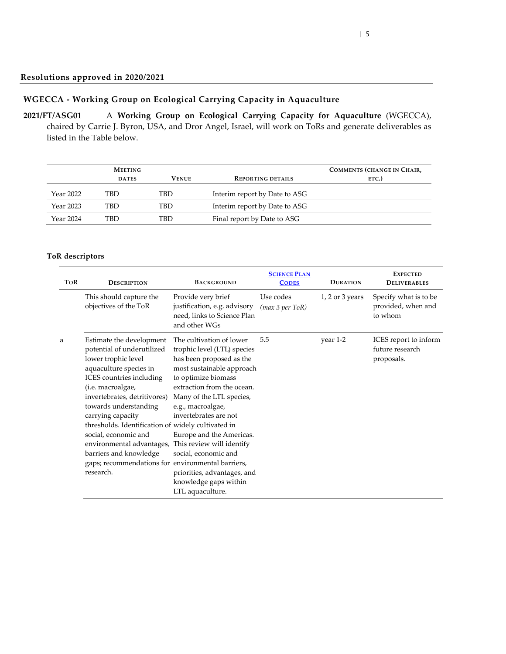### **WGECCA - Working Group on Ecological Carrying Capacity in Aquaculture**

<span id="page-4-1"></span><span id="page-4-0"></span>**2021/FT/ASG01** A **Working Group on Ecological Carrying Capacity for Aquaculture** (WGECCA), chaired by Carrie J. Byron, USA, and Dror Angel, Israel, will work on ToRs and generate deliverables as listed in the Table below.

|           | <b>MEETING</b><br><b>DATES</b> | <b>VENUE</b> | <b>REPORTING DETAILS</b>      | COMMENTS (CHANGE IN CHAIR,<br>ETC.) |
|-----------|--------------------------------|--------------|-------------------------------|-------------------------------------|
| Year 2022 | TBD                            | TBD          | Interim report by Date to ASG |                                     |
| Year 2023 | TBD                            | TBD          | Interim report by Date to ASG |                                     |
| Year 2024 | <b>TBD</b>                     | TBD          | Final report by Date to ASG   |                                     |

| <b>TOR</b> | <b>BACKGROUND</b><br><b>DESCRIPTION</b>                                                                                                                                                                                                                                                                                                                                                                                                       |                                                                                                                                                                                                                                                                                                                                                                                                              | <b>SCIENCE PLAN</b><br><b>CODES</b> | <b>DURATION</b>     | <b>EXPECTED</b><br><b>DELIVERABLES</b>                 |
|------------|-----------------------------------------------------------------------------------------------------------------------------------------------------------------------------------------------------------------------------------------------------------------------------------------------------------------------------------------------------------------------------------------------------------------------------------------------|--------------------------------------------------------------------------------------------------------------------------------------------------------------------------------------------------------------------------------------------------------------------------------------------------------------------------------------------------------------------------------------------------------------|-------------------------------------|---------------------|--------------------------------------------------------|
|            | This should capture the<br>objectives of the ToR                                                                                                                                                                                                                                                                                                                                                                                              | Provide very brief<br>justification, e.g. advisory<br>need, links to Science Plan<br>and other WGs                                                                                                                                                                                                                                                                                                           | Use codes<br>(max 3 per ToR)        | $1, 2$ or $3$ years | Specify what is to be<br>provided, when and<br>to whom |
| a          | Estimate the development<br>potential of underutilized<br>lower trophic level<br>aquaculture species in<br>ICES countries including<br>(i.e. macroalgae,<br>invertebrates, detritivores)<br>towards understanding<br>carrying capacity<br>thresholds. Identification of widely cultivated in<br>social, economic and<br>environmental advantages,<br>barriers and knowledge<br>gaps; recommendations for environmental barriers,<br>research. | The cultivation of lower<br>trophic level (LTL) species<br>has been proposed as the<br>most sustainable approach<br>to optimize biomass<br>extraction from the ocean.<br>Many of the LTL species,<br>e.g., macroalgae,<br>invertebrates are not<br>Europe and the Americas.<br>This review will identify<br>social, economic and<br>priorities, advantages, and<br>knowledge gaps within<br>LTL aquaculture. | 5.5                                 | year 1-2            | ICES report to inform<br>future research<br>proposals. |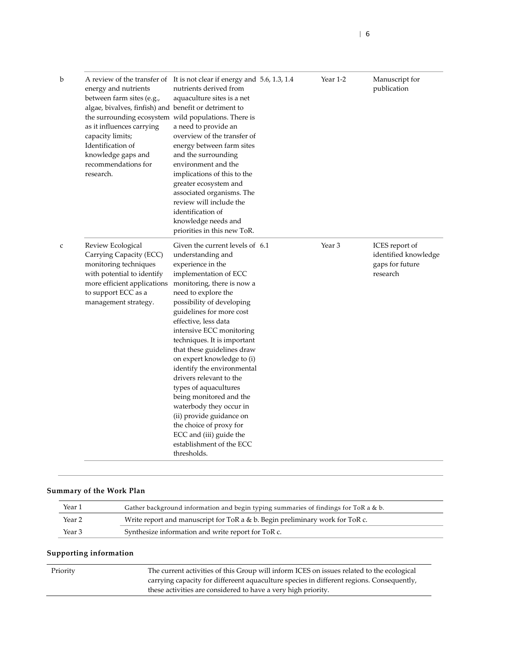| b | energy and nutrients<br>between farm sites (e.g.,<br>algae, bivalves, finfish) and benefit or detriment to<br>the surrounding ecosystem wild populations. There is<br>as it influences carrying<br>capacity limits;<br>Identification of<br>knowledge gaps and<br>recommendations for<br>research. | A review of the transfer of It is not clear if energy and 5.6, 1.3, 1.4<br>nutrients derived from<br>aquaculture sites is a net<br>a need to provide an<br>overview of the transfer of<br>energy between farm sites<br>and the surrounding<br>environment and the<br>implications of this to the<br>greater ecosystem and<br>associated organisms. The<br>review will include the<br>identification of<br>knowledge needs and<br>priorities in this new ToR.                                                                                                                                                                         | Year 1-2 | Manuscript for<br>publication                                         |
|---|----------------------------------------------------------------------------------------------------------------------------------------------------------------------------------------------------------------------------------------------------------------------------------------------------|--------------------------------------------------------------------------------------------------------------------------------------------------------------------------------------------------------------------------------------------------------------------------------------------------------------------------------------------------------------------------------------------------------------------------------------------------------------------------------------------------------------------------------------------------------------------------------------------------------------------------------------|----------|-----------------------------------------------------------------------|
| C | Review Ecological<br>Carrying Capacity (ECC)<br>monitoring techniques<br>with potential to identify<br>more efficient applications<br>to support ECC as a<br>management strategy.                                                                                                                  | Given the current levels of 6.1<br>understanding and<br>experience in the<br>implementation of ECC<br>monitoring, there is now a<br>need to explore the<br>possibility of developing<br>guidelines for more cost<br>effective, less data<br>intensive ECC monitoring<br>techniques. It is important<br>that these guidelines draw<br>on expert knowledge to (i)<br>identify the environmental<br>drivers relevant to the<br>types of aquacultures<br>being monitored and the<br>waterbody they occur in<br>(ii) provide guidance on<br>the choice of proxy for<br>ECC and (iii) guide the<br>establishment of the ECC<br>thresholds. | Year 3   | ICES report of<br>identified knowledge<br>gaps for future<br>research |

| Year 1            | Gather background information and begin typing summaries of findings for ToR a & b. |
|-------------------|-------------------------------------------------------------------------------------|
| Year <sub>2</sub> | Write report and manuscript for ToR a $\&$ b. Begin preliminary work for ToR c.     |
| Year 3            | Synthesize information and write report for ToR c.                                  |

| Priority | The current activities of this Group will inform ICES on issues related to the ecological |
|----------|-------------------------------------------------------------------------------------------|
|          | carrying capacity for differeent aquaculture species in different regions. Consequently,  |
|          | these activities are considered to have a very high priority.                             |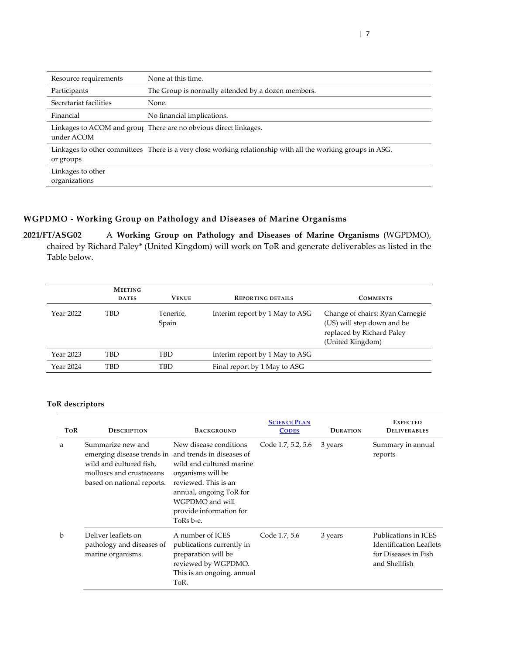| Resource requirements              | None at this time.                                                                                          |
|------------------------------------|-------------------------------------------------------------------------------------------------------------|
| Participants                       | The Group is normally attended by a dozen members.                                                          |
| Secretariat facilities             | None.                                                                                                       |
| Financial                          | No financial implications.                                                                                  |
| under ACOM                         | Linkages to ACOM and group There are no obvious direct linkages.                                            |
| or groups                          | Linkages to other committees There is a very close working relationship with all the working groups in ASG. |
| Linkages to other<br>organizations |                                                                                                             |

# **WGPDMO - Working Group on Pathology and Diseases of Marine Organisms**

<span id="page-6-0"></span>**2021/FT/ASG02** A **Working Group on Pathology and Diseases of Marine Organisms** (WGPDMO), chaired by Richard Paley\* (United Kingdom) will work on ToR and generate deliverables as listed in the Table below.

|           | <b>MEETING</b> |                    |                                |                                                                                                                |
|-----------|----------------|--------------------|--------------------------------|----------------------------------------------------------------------------------------------------------------|
|           | <b>DATES</b>   | <b>VENUE</b>       | <b>REPORTING DETAILS</b>       | <b>COMMENTS</b>                                                                                                |
| Year 2022 | <b>TBD</b>     | Tenerife,<br>Spain | Interim report by 1 May to ASG | Change of chairs: Ryan Carnegie<br>(US) will step down and be<br>replaced by Richard Paley<br>(United Kingdom) |
| Year 2023 | <b>TBD</b>     | TBD                | Interim report by 1 May to ASG |                                                                                                                |
| Year 2024 | <b>TBD</b>     | TBD                | Final report by 1 May to ASG   |                                                                                                                |

| <b>TOR</b>  | <b>DESCRIPTION</b>                                                                                                                                             | <b>BACKGROUND</b>                                                                                                                                                                     | <b>SCIENCE PLAN</b><br><b>CODES</b> | <b>DURATION</b> | <b>EXPECTED</b><br><b>DELIVERABLES</b>                                                          |
|-------------|----------------------------------------------------------------------------------------------------------------------------------------------------------------|---------------------------------------------------------------------------------------------------------------------------------------------------------------------------------------|-------------------------------------|-----------------|-------------------------------------------------------------------------------------------------|
| a           | Summarize new and<br>emerging disease trends in and trends in diseases of<br>wild and cultured fish,<br>molluscs and crustaceans<br>based on national reports. | New disease conditions<br>wild and cultured marine<br>organisms will be<br>reviewed. This is an<br>annual, ongoing ToR for<br>WGPDMO and will<br>provide information for<br>ToRs b-e. | Code 1.7, 5.2, 5.6                  | 3 years         | Summary in annual<br>reports                                                                    |
| $\mathbf b$ | Deliver leaflets on<br>pathology and diseases of<br>marine organisms.                                                                                          | A number of ICES<br>publications currently in<br>preparation will be<br>reviewed by WGPDMO.<br>This is an ongoing, annual<br>ToR.                                                     | Code 1.7, 5.6                       | 3 years         | Publications in ICES<br><b>Identification Leaflets</b><br>for Diseases in Fish<br>and Shellfish |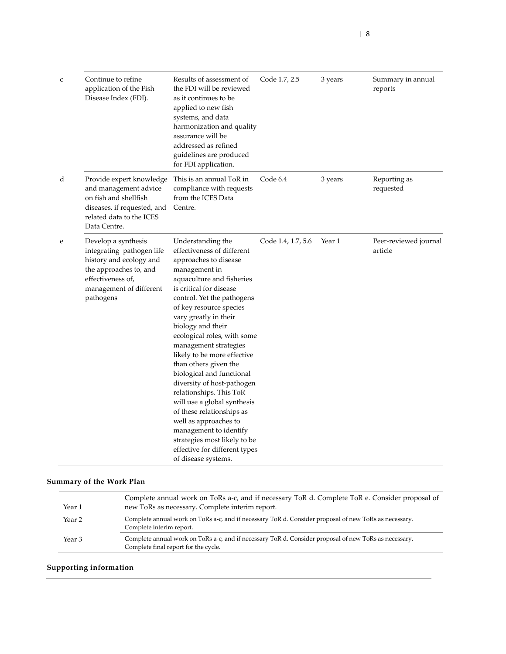| $\mathsf{C}$ | Continue to refine<br>application of the Fish<br>Disease Index (FDI).                                                                                              | Results of assessment of<br>the FDI will be reviewed<br>as it continues to be<br>applied to new fish<br>systems, and data<br>harmonization and quality<br>assurance will be<br>addressed as refined<br>guidelines are produced<br>for FDI application.                                                                                                                                                                                                                                                                                                                                                                                                                | Code 1.7, 2.5      | 3 years | Summary in annual<br>reports     |
|--------------|--------------------------------------------------------------------------------------------------------------------------------------------------------------------|-----------------------------------------------------------------------------------------------------------------------------------------------------------------------------------------------------------------------------------------------------------------------------------------------------------------------------------------------------------------------------------------------------------------------------------------------------------------------------------------------------------------------------------------------------------------------------------------------------------------------------------------------------------------------|--------------------|---------|----------------------------------|
| d            | Provide expert knowledge<br>and management advice<br>on fish and shellfish<br>diseases, if requested, and<br>related data to the ICES<br>Data Centre.              | This is an annual ToR in<br>compliance with requests<br>from the ICES Data<br>Centre.                                                                                                                                                                                                                                                                                                                                                                                                                                                                                                                                                                                 | Code 6.4           | 3 years | Reporting as<br>requested        |
| e            | Develop a synthesis<br>integrating pathogen life<br>history and ecology and<br>the approaches to, and<br>effectiveness of,<br>management of different<br>pathogens | Understanding the<br>effectiveness of different<br>approaches to disease<br>management in<br>aquaculture and fisheries<br>is critical for disease<br>control. Yet the pathogens<br>of key resource species<br>vary greatly in their<br>biology and their<br>ecological roles, with some<br>management strategies<br>likely to be more effective<br>than others given the<br>biological and functional<br>diversity of host-pathogen<br>relationships. This ToR<br>will use a global synthesis<br>of these relationships as<br>well as approaches to<br>management to identify<br>strategies most likely to be<br>effective for different types<br>of disease systems. | Code 1.4, 1.7, 5.6 | Year 1  | Peer-reviewed journal<br>article |

| Year 1            | Complete annual work on ToRs a-c, and if necessary ToR d. Complete ToR e. Consider proposal of<br>new ToRs as necessary. Complete interim report. |
|-------------------|---------------------------------------------------------------------------------------------------------------------------------------------------|
| Year 2            | Complete annual work on ToRs a-c, and if necessary ToR d. Consider proposal of new ToRs as necessary.<br>Complete interim report.                 |
| Year <sub>3</sub> | Complete annual work on ToRs a-c, and if necessary ToR d. Consider proposal of new ToRs as necessary.<br>Complete final report for the cycle.     |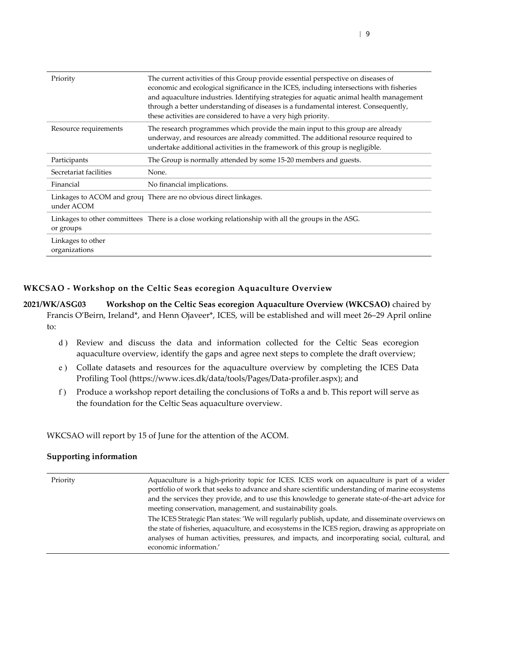| Priority                           | The current activities of this Group provide essential perspective on diseases of<br>economic and ecological significance in the ICES, including intersections with fisheries<br>and aquaculture industries. Identifying strategies for aquatic animal health management<br>through a better understanding of diseases is a fundamental interest. Consequently,<br>these activities are considered to have a very high priority. |
|------------------------------------|----------------------------------------------------------------------------------------------------------------------------------------------------------------------------------------------------------------------------------------------------------------------------------------------------------------------------------------------------------------------------------------------------------------------------------|
| Resource requirements              | The research programmes which provide the main input to this group are already<br>underway, and resources are already committed. The additional resource required to<br>undertake additional activities in the framework of this group is negligible.                                                                                                                                                                            |
| Participants                       | The Group is normally attended by some 15-20 members and guests.                                                                                                                                                                                                                                                                                                                                                                 |
| Secretariat facilities             | None.                                                                                                                                                                                                                                                                                                                                                                                                                            |
| Financial                          | No financial implications.                                                                                                                                                                                                                                                                                                                                                                                                       |
| under ACOM                         | Linkages to ACOM and group There are no obvious direct linkages.                                                                                                                                                                                                                                                                                                                                                                 |
| or groups                          | Linkages to other committees There is a close working relationship with all the groups in the ASG.                                                                                                                                                                                                                                                                                                                               |
| Linkages to other<br>organizations |                                                                                                                                                                                                                                                                                                                                                                                                                                  |

#### **WKCSAO - Workshop on the Celtic Seas ecoregion Aquaculture Overview**

<span id="page-8-0"></span>**2021/WK/ASG03 Workshop on the Celtic Seas ecoregion Aquaculture Overview (WKCSAO)** chaired by Francis O'Beirn, Ireland\*, and Henn Ojaveer\*, ICES, will be established and will meet 26–29 April online to:

- d ) Review and discuss the data and information collected for the Celtic Seas ecoregion aquaculture overview, identify the gaps and agree next steps to complete the draft overview;
- e ) Collate datasets and resources for the aquaculture overview by completing the ICES Data Profiling Tool (https://www.ices.dk/data/tools/Pages/Data-profiler.aspx); and
- f ) Produce a workshop report detailing the conclusions of ToRs a and b. This report will serve as the foundation for the Celtic Seas aquaculture overview.

WKCSAO will report by 15 of June for the attention of the ACOM.

| Priority | Aquaculture is a high-priority topic for ICES. ICES work on aquaculture is part of a wider<br>portfolio of work that seeks to advance and share scientific understanding of marine ecosystems<br>and the services they provide, and to use this knowledge to generate state-of-the-art advice for<br>meeting conservation, management, and sustainability goals. |
|----------|------------------------------------------------------------------------------------------------------------------------------------------------------------------------------------------------------------------------------------------------------------------------------------------------------------------------------------------------------------------|
|          | The ICES Strategic Plan states: 'We will regularly publish, update, and disseminate overviews on<br>the state of fisheries, aquaculture, and ecosystems in the ICES region, drawing as appropriate on<br>analyses of human activities, pressures, and impacts, and incorporating social, cultural, and<br>economic information.'                                 |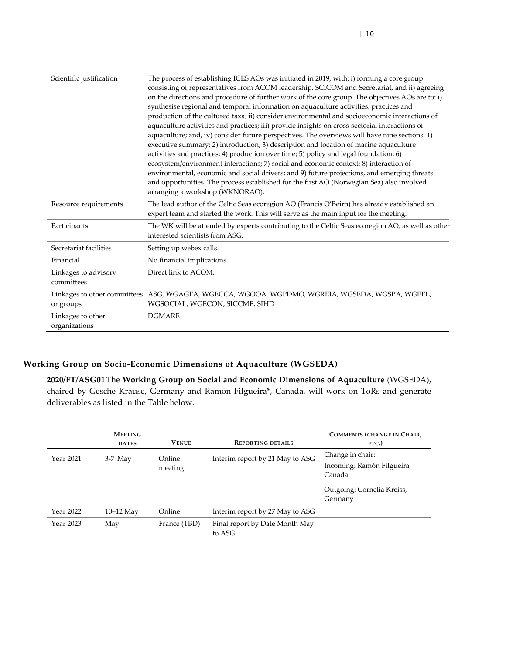| Scientific justification           | The process of establishing ICES AOs was initiated in 2019, with: i) forming a core group<br>consisting of representatives from ACOM leadership, SCICOM and Secretariat, and ii) agreeing<br>on the directions and procedure of further work of the core group. The objectives AOs are to: i)<br>synthesise regional and temporal information on aquaculture activities, practices and<br>production of the cultured taxa; ii) consider environmental and socioeconomic interactions of<br>aquaculture activities and practices; iii) provide insights on cross-sectorial interactions of<br>aquaculture; and, iv) consider future perspectives. The overviews will have nine sections: 1)<br>executive summary; 2) introduction; 3) description and location of marine aquaculture<br>activities and practices; 4) production over time; 5) policy and legal foundation; 6)<br>ecosystem/environment interactions; 7) social and economic context; 8) interaction of<br>environmental, economic and social drivers; and 9) future projections, and emerging threats<br>and opportunities. The process established for the first AO (Norwegian Sea) also involved<br>arranging a workshop (WKNORAO). |
|------------------------------------|------------------------------------------------------------------------------------------------------------------------------------------------------------------------------------------------------------------------------------------------------------------------------------------------------------------------------------------------------------------------------------------------------------------------------------------------------------------------------------------------------------------------------------------------------------------------------------------------------------------------------------------------------------------------------------------------------------------------------------------------------------------------------------------------------------------------------------------------------------------------------------------------------------------------------------------------------------------------------------------------------------------------------------------------------------------------------------------------------------------------------------------------------------------------------------------------------|
| Resource requirements              | The lead author of the Celtic Seas ecoregion AO (Francis O'Beirn) has already established an<br>expert team and started the work. This will serve as the main input for the meeting.                                                                                                                                                                                                                                                                                                                                                                                                                                                                                                                                                                                                                                                                                                                                                                                                                                                                                                                                                                                                                 |
| Participants                       | The WK will be attended by experts contributing to the Celtic Seas ecoregion AO, as well as other<br>interested scientists from ASG.                                                                                                                                                                                                                                                                                                                                                                                                                                                                                                                                                                                                                                                                                                                                                                                                                                                                                                                                                                                                                                                                 |
| Secretariat facilities             | Setting up webex calls.                                                                                                                                                                                                                                                                                                                                                                                                                                                                                                                                                                                                                                                                                                                                                                                                                                                                                                                                                                                                                                                                                                                                                                              |
| Financial                          | No financial implications.                                                                                                                                                                                                                                                                                                                                                                                                                                                                                                                                                                                                                                                                                                                                                                                                                                                                                                                                                                                                                                                                                                                                                                           |
| Linkages to advisory<br>committees | Direct link to ACOM.                                                                                                                                                                                                                                                                                                                                                                                                                                                                                                                                                                                                                                                                                                                                                                                                                                                                                                                                                                                                                                                                                                                                                                                 |
| or groups                          | Linkages to other committees ASG, WGAGFA, WGECCA, WGOOA, WGPDMO, WGREIA, WGSEDA, WGSPA, WGEEL,<br>WGSOCIAL, WGECON, SICCME, SIHD                                                                                                                                                                                                                                                                                                                                                                                                                                                                                                                                                                                                                                                                                                                                                                                                                                                                                                                                                                                                                                                                     |
| Linkages to other<br>organizations | <b>DGMARE</b>                                                                                                                                                                                                                                                                                                                                                                                                                                                                                                                                                                                                                                                                                                                                                                                                                                                                                                                                                                                                                                                                                                                                                                                        |

### **Working Group on Socio-Economic Dimensions of Aquaculture (WGSEDA)**

<span id="page-9-0"></span>**2020/FT/ASG01** The **Working Group on Social and Economic Dimensions of Aquaculture** (WGSEDA), chaired by Gesche Krause, Germany and Ramón Filgueira\*, Canada, will work on ToRs and generate deliverables as listed in the Table below.

|           | <b>MEETING</b><br><b>DATES</b> | <b>VENUE</b>      | <b>REPORTING DETAILS</b>                 | COMMENTS (CHANGE IN CHAIR,<br>ETC.)                      |
|-----------|--------------------------------|-------------------|------------------------------------------|----------------------------------------------------------|
| Year 2021 | $3-7$ May                      | Online<br>meeting | Interim report by 21 May to ASG          | Change in chair:<br>Incoming: Ramón Filgueira,<br>Canada |
|           |                                |                   |                                          | Outgoing: Cornelia Kreiss,<br>Germany                    |
| Year 2022 | $10-12$ May                    | Online            | Interim report by 27 May to ASG          |                                                          |
| Year 2023 | May                            | France (TBD)      | Final report by Date Month May<br>to ASG |                                                          |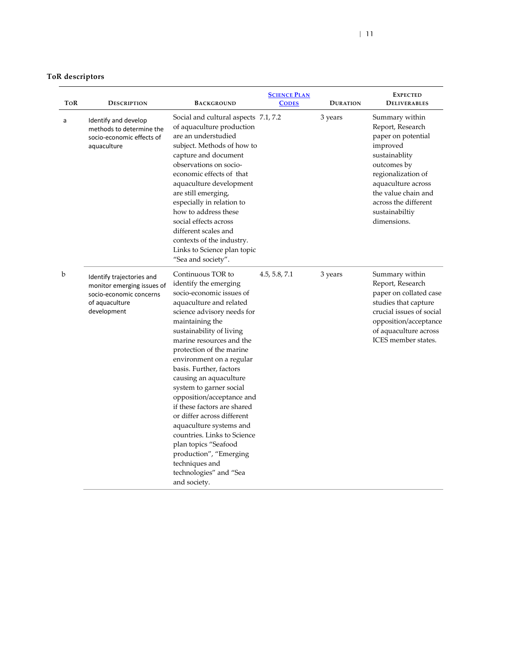| <b>ToR</b> descriptors |
|------------------------|
|                        |

| ToR | <b>DESCRIPTION</b>                                                                                                                                                                                                                                                                                                                                                                                                                                                                                                                                                                                                                                                                                                                          | <b>BACKGROUND</b>                                                                                                                                                                                                                                                                                                                                                                                                                              | <b>SCIENCE PLAN</b><br><b>CODES</b> | <b>DURATION</b> | <b>EXPECTED</b><br><b>DELIVERABLES</b>                                                                                                                                                                                           |
|-----|---------------------------------------------------------------------------------------------------------------------------------------------------------------------------------------------------------------------------------------------------------------------------------------------------------------------------------------------------------------------------------------------------------------------------------------------------------------------------------------------------------------------------------------------------------------------------------------------------------------------------------------------------------------------------------------------------------------------------------------------|------------------------------------------------------------------------------------------------------------------------------------------------------------------------------------------------------------------------------------------------------------------------------------------------------------------------------------------------------------------------------------------------------------------------------------------------|-------------------------------------|-----------------|----------------------------------------------------------------------------------------------------------------------------------------------------------------------------------------------------------------------------------|
| a   | Identify and develop<br>methods to determine the<br>socio-economic effects of<br>aquaculture                                                                                                                                                                                                                                                                                                                                                                                                                                                                                                                                                                                                                                                | Social and cultural aspects 7.1, 7.2<br>of aquaculture production<br>are an understudied<br>subject. Methods of how to<br>capture and document<br>observations on socio-<br>economic effects of that<br>aquaculture development<br>are still emerging,<br>especially in relation to<br>how to address these<br>social effects across<br>different scales and<br>contexts of the industry.<br>Links to Science plan topic<br>"Sea and society". |                                     | 3 years         | Summary within<br>Report, Research<br>paper on potential<br>improved<br>sustainablity<br>outcomes by<br>regionalization of<br>aquaculture across<br>the value chain and<br>across the different<br>sustainabiltiy<br>dimensions. |
| b   | Continuous TOR to<br>Identify trajectories and<br>identify the emerging<br>monitor emerging issues of<br>socio-economic issues of<br>socio-economic concerns<br>aquaculture and related<br>of aquaculture<br>development<br>science advisory needs for<br>maintaining the<br>sustainability of living<br>marine resources and the<br>protection of the marine<br>environment on a regular<br>basis. Further, factors<br>causing an aquaculture<br>system to garner social<br>opposition/acceptance and<br>if these factors are shared<br>or differ across different<br>aquaculture systems and<br>countries. Links to Science<br>plan topics "Seafood<br>production", "Emerging<br>techniques and<br>technologies" and "Sea<br>and society. |                                                                                                                                                                                                                                                                                                                                                                                                                                                | 4.5, 5.8, 7.1                       | 3 years         | Summary within<br>Report, Research<br>paper on collated case<br>studies that capture<br>crucial issues of social<br>opposition/acceptance<br>of aquaculture across<br>ICES member states.                                        |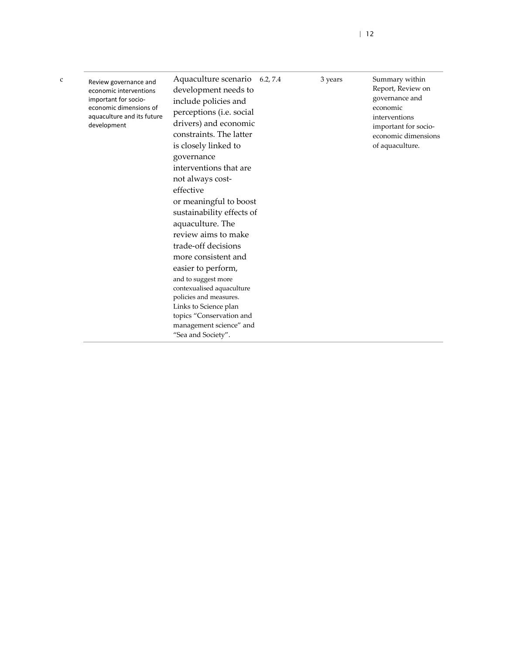| c | Review governance and<br>economic interventions<br>important for socio-<br>economic dimensions of<br>aquaculture and its future<br>development | Aquaculture scenario 6.2, 7.4<br>development needs to<br>include policies and<br>perceptions (i.e. social<br>drivers) and economic<br>constraints. The latter<br>is closely linked to<br>governance<br>interventions that are<br>not always cost-<br>effective<br>or meaningful to boost<br>sustainability effects of<br>aquaculture. The<br>review aims to make<br>trade-off decisions<br>more consistent and<br>easier to perform,<br>and to suggest more<br>contexualised aquaculture<br>policies and measures.<br>Links to Science plan<br>topics "Conservation and<br>management science" and<br>"Sea and Society". |  | 3 years | Summary within<br>Report, Review on<br>governance and<br>economic<br>interventions<br>important for socio-<br>economic dimensions<br>of aquaculture. |
|---|------------------------------------------------------------------------------------------------------------------------------------------------|--------------------------------------------------------------------------------------------------------------------------------------------------------------------------------------------------------------------------------------------------------------------------------------------------------------------------------------------------------------------------------------------------------------------------------------------------------------------------------------------------------------------------------------------------------------------------------------------------------------------------|--|---------|------------------------------------------------------------------------------------------------------------------------------------------------------|
|---|------------------------------------------------------------------------------------------------------------------------------------------------|--------------------------------------------------------------------------------------------------------------------------------------------------------------------------------------------------------------------------------------------------------------------------------------------------------------------------------------------------------------------------------------------------------------------------------------------------------------------------------------------------------------------------------------------------------------------------------------------------------------------------|--|---------|------------------------------------------------------------------------------------------------------------------------------------------------------|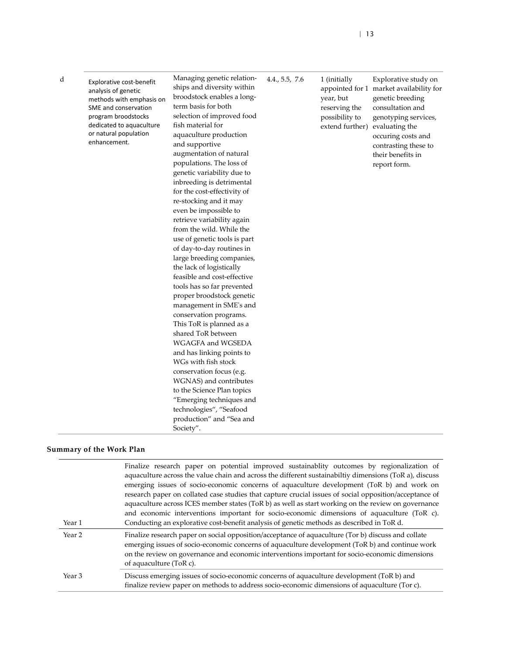| Explorative cost-benefit<br>analysis of genetic<br>methods with emphasis on<br>SME and conservation<br>program broodstocks<br>dedicated to aquaculture<br>or natural population<br>enhancement. | Managing genetic relation-<br>ships and diversity within<br>broodstock enables a long-<br>term basis for both<br>selection of improved food<br>fish material for<br>aquaculture production<br>and supportive<br>augmentation of natural<br>populations. The loss of<br>genetic variability due to<br>inbreeding is detrimental<br>for the cost-effectivity of<br>re-stocking and it may<br>even be impossible to<br>retrieve variability again<br>from the wild. While the<br>use of genetic tools is part | 4.4., 5.5, 7.6 | 1 (initially<br>year, but<br>reserving the<br>possibility to<br>extend further) evaluating the | Explorative study on<br>appointed for 1 market availability for<br>genetic breeding<br>consultation and<br>genotyping services,<br>occuring costs and<br>contrasting these to<br>their benefits in<br>report form. |
|-------------------------------------------------------------------------------------------------------------------------------------------------------------------------------------------------|------------------------------------------------------------------------------------------------------------------------------------------------------------------------------------------------------------------------------------------------------------------------------------------------------------------------------------------------------------------------------------------------------------------------------------------------------------------------------------------------------------|----------------|------------------------------------------------------------------------------------------------|--------------------------------------------------------------------------------------------------------------------------------------------------------------------------------------------------------------------|
|                                                                                                                                                                                                 | of day-to-day routines in<br>large breeding companies,<br>the lack of logistically                                                                                                                                                                                                                                                                                                                                                                                                                         |                |                                                                                                |                                                                                                                                                                                                                    |
|                                                                                                                                                                                                 | feasible and cost-effective                                                                                                                                                                                                                                                                                                                                                                                                                                                                                |                |                                                                                                |                                                                                                                                                                                                                    |
|                                                                                                                                                                                                 | tools has so far prevented                                                                                                                                                                                                                                                                                                                                                                                                                                                                                 |                |                                                                                                |                                                                                                                                                                                                                    |
|                                                                                                                                                                                                 | proper broodstock genetic                                                                                                                                                                                                                                                                                                                                                                                                                                                                                  |                |                                                                                                |                                                                                                                                                                                                                    |
|                                                                                                                                                                                                 | management in SME's and                                                                                                                                                                                                                                                                                                                                                                                                                                                                                    |                |                                                                                                |                                                                                                                                                                                                                    |

| Year 1 | Finalize research paper on potential improved sustainablity outcomes by regionalization of<br>aquaculture across the value chain and across the different sustainability dimensions (ToR a), discuss<br>emerging issues of socio-economic concerns of aquaculture development (ToR b) and work on<br>research paper on collated case studies that capture crucial issues of social opposition/acceptance of<br>aquaculture across ICES member states (ToR b) as well as start working on the review on governance<br>and economic interventions important for socio-economic dimensions of aquaculture (ToR c).<br>Conducting an explorative cost-benefit analysis of genetic methods as described in ToR d. |
|--------|--------------------------------------------------------------------------------------------------------------------------------------------------------------------------------------------------------------------------------------------------------------------------------------------------------------------------------------------------------------------------------------------------------------------------------------------------------------------------------------------------------------------------------------------------------------------------------------------------------------------------------------------------------------------------------------------------------------|
| Year 2 | Finalize research paper on social opposition/acceptance of aquaculture (Tor b) discuss and collate<br>emerging issues of socio-economic concerns of aquaculture development (ToR b) and continue work<br>on the review on governance and economic interventions important for socio-economic dimensions<br>of aquaculture (ToR c).                                                                                                                                                                                                                                                                                                                                                                           |
| Year 3 | Discuss emerging issues of socio-economic concerns of aquaculture development (ToR b) and<br>finalize review paper on methods to address socio-economic dimensions of aquaculture (Tor c).                                                                                                                                                                                                                                                                                                                                                                                                                                                                                                                   |

This ToR is planned as a shared ToR between WGAGFA and WGSEDA and has linking points to WGs with fish stock conservation focus (e.g. WGNAS) and contributes to the Science Plan topics "Emerging techniques and technologies", "Seafood production" and "Sea and

Society".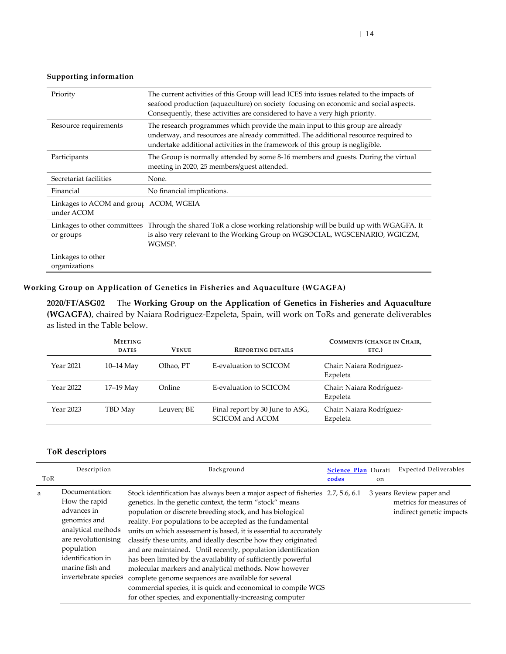#### **Supporting information**

| Priority                                             | The current activities of this Group will lead ICES into issues related to the impacts of<br>seafood production (aquaculture) on society focusing on economic and social aspects.<br>Consequently, these activities are considered to have a very high priority. |
|------------------------------------------------------|------------------------------------------------------------------------------------------------------------------------------------------------------------------------------------------------------------------------------------------------------------------|
| Resource requirements                                | The research programmes which provide the main input to this group are already<br>underway, and resources are already committed. The additional resource required to<br>undertake additional activities in the framework of this group is negligible.            |
| Participants                                         | The Group is normally attended by some 8-16 members and guests. During the virtual<br>meeting in 2020, 25 members/guest attended.                                                                                                                                |
| Secretariat facilities                               | None.                                                                                                                                                                                                                                                            |
| Financial                                            | No financial implications.                                                                                                                                                                                                                                       |
| Linkages to ACOM and group ACOM, WGEIA<br>under ACOM |                                                                                                                                                                                                                                                                  |
| or groups                                            | Linkages to other committees Through the shared ToR a close working relationship will be build up with WGAGFA. It<br>is also very relevant to the Working Group on WGSOCIAL, WGSCENARIO, WGICZM,<br>WGMSP.                                                       |
| Linkages to other<br>organizations                   |                                                                                                                                                                                                                                                                  |

### **Working Group on Application of Genetics in Fisheries and Aquaculture (WGAGFA)**

<span id="page-13-0"></span>**2020/FT/ASG02** The **Working Group on the Application of Genetics in Fisheries and Aquaculture (WGAGFA)**, chaired by Naiara Rodriguez-Ezpeleta, Spain, will work on ToRs and generate deliverables as listed in the Table below.

|           | <b>MEETING</b><br><b>DATES</b> | <b>VENUE</b> | <b>REPORTING DETAILS</b>                           | <b>COMMENTS (CHANGE IN CHAIR,</b><br>ETC.) |
|-----------|--------------------------------|--------------|----------------------------------------------------|--------------------------------------------|
| Year 2021 | $10-14$ May                    | Olhao, PT    | E-evaluation to SCICOM                             | Chair: Naiara Rodríguez-<br>Ezpeleta       |
| Year 2022 | $17-19$ May                    | Online       | E-evaluation to SCICOM                             | Chair: Naiara Rodríguez-<br>Ezpeleta       |
| Year 2023 | TBD May                        | Leuven; BE   | Final report by 30 June to ASG,<br>SCICOM and ACOM | Chair: Naiara Rodríguez-<br>Ezpeleta       |

| ToR | Description                                                                                                                                                                               | Background                                                                                                                                                                                                                                                                                                                                                                                                                                                                                                                                                                                                                                                                                                                                                                                  | Science Plan Durati<br>codes | <sub>on</sub> | <b>Expected Deliverables</b>                                                    |
|-----|-------------------------------------------------------------------------------------------------------------------------------------------------------------------------------------------|---------------------------------------------------------------------------------------------------------------------------------------------------------------------------------------------------------------------------------------------------------------------------------------------------------------------------------------------------------------------------------------------------------------------------------------------------------------------------------------------------------------------------------------------------------------------------------------------------------------------------------------------------------------------------------------------------------------------------------------------------------------------------------------------|------------------------------|---------------|---------------------------------------------------------------------------------|
| a   | Documentation:<br>How the rapid<br>advances in<br>genomics and<br>analytical methods<br>are revolutionising<br>population<br>identification in<br>marine fish and<br>invertebrate species | Stock identification has always been a major aspect of fisheries 2.7, 5.6, 6.1<br>genetics. In the genetic context, the term "stock" means<br>population or discrete breeding stock, and has biological<br>reality. For populations to be accepted as the fundamental<br>units on which assessment is based, it is essential to accurately<br>classify these units, and ideally describe how they originated<br>and are maintained. Until recently, population identification<br>has been limited by the availability of sufficiently powerful<br>molecular markers and analytical methods. Now however<br>complete genome sequences are available for several<br>commercial species, it is quick and economical to compile WGS<br>for other species, and exponentially-increasing computer |                              |               | 3 years Review paper and<br>metrics for measures of<br>indirect genetic impacts |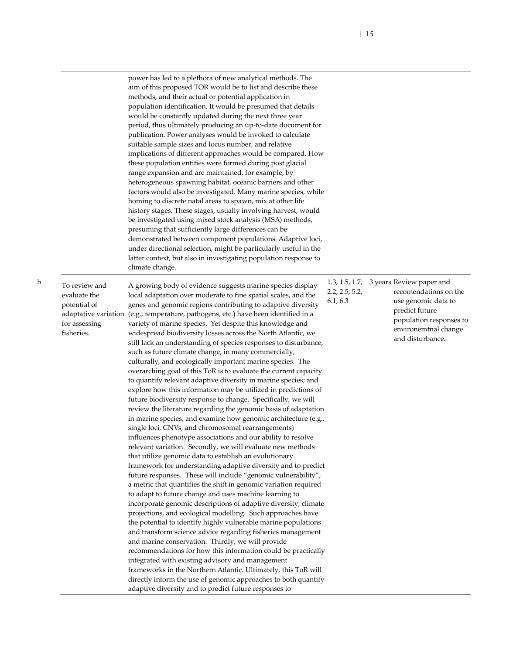power has led to a plethora of new analytical methods. The aim of this proposed TOR would be to list and describe these methods, and their actual or potential application in population identification. It would be presumed that details would be constantly updated during the next three year period, thus ultimately producing an up-to-date document for publication. Power analyses would be invoked to calculate suitable sample sizes and locus number, and relative implications of different approaches would be compared. How these population entities were formed during post glacial range expansion and are maintained, for example, by heterogeneous spawning habitat, oceanic barriers and other factors would also be investigated. Many marine species, while homing to discrete natal areas to spawn, mix at other life history stages. These stages, usually involving harvest, would be investigated using mixed stock analysis (MSA) methods, presuming that sufficiently large differences can be demonstrated between component populations. Adaptive loci, under directional selection, might be particularly useful in the latter context, but also in investigating population response to climate change.

b To review and evaluate the potential of adaptative variation for assessing fisheries.

A growing body of evidence suggests marine species display local adaptation over moderate to fine spatial scales, and the genes and genomic regions contributing to adaptive diversity (e.g., temperature, pathogens, etc.) have been identified in a variety of marine species. Yet despite this knowledge and widespread biodiversity losses across the North Atlantic, we still lack an understanding of species responses to disturbance, such as future climate change, in many commercially, culturally, and ecologically important marine species. The overarching goal of this ToR is to evaluate the current capacity to quantify relevant adaptive diversity in marine species; and explore how this information may be utilized in predictions of future biodiversity response to change. Specifically, we will review the literature regarding the genomic basis of adaptation in marine species, and examine how genomic architecture (e.g., single loci, CNVs, and chromosomal rearrangements) influences phenotype associations and our ability to resolve relevant variation. Secondly, we will evaluate new methods that utilize genomic data to establish an evolutionary framework for understanding adaptive diversity and to predict future responses. These will include "genomic vulnerability", a metric that quantifies the shift in genomic variation required to adapt to future change and uses machine learning to incorporate genomic descriptions of adaptive diversity, climate projections, and ecological modelling. Such approaches have the potential to identify highly vulnerable marine populations and transform science advice regarding fisheries management and marine conservation. Thirdly, we will provide recommendations for how this information could be practically integrated with existing advisory and management frameworks in the Northern Atlantic. Ultimately, this ToR will directly inform the use of genomic approaches to both quantify adaptive diversity and to predict future responses to

1.3, 1.5, 1.7, 3 years Review paper and 2.2, 2.5, 5.2,

6.1, 6.3

recomendations on the use genomic data to predict future population responses to environemtnal change and disturbance.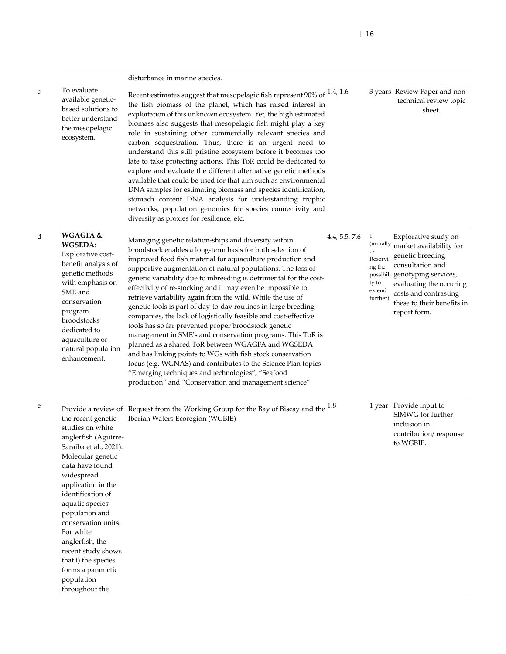|                                                                                                                                                                                                                                                                                                                                                                                          | disturbance in marine species.                                                                                                                                                                                                                                                                                                                                                                                                                                                                                                                                                                                                                                                                                                                                                                                                                                                                                                                                                                                 |               |                                                                                |                                                                                                                                                                                                                             |
|------------------------------------------------------------------------------------------------------------------------------------------------------------------------------------------------------------------------------------------------------------------------------------------------------------------------------------------------------------------------------------------|----------------------------------------------------------------------------------------------------------------------------------------------------------------------------------------------------------------------------------------------------------------------------------------------------------------------------------------------------------------------------------------------------------------------------------------------------------------------------------------------------------------------------------------------------------------------------------------------------------------------------------------------------------------------------------------------------------------------------------------------------------------------------------------------------------------------------------------------------------------------------------------------------------------------------------------------------------------------------------------------------------------|---------------|--------------------------------------------------------------------------------|-----------------------------------------------------------------------------------------------------------------------------------------------------------------------------------------------------------------------------|
| To evaluate<br>available genetic-<br>based solutions to<br>better understand<br>the mesopelagic<br>ecosystem.                                                                                                                                                                                                                                                                            | Recent estimates suggest that mesopolagic fish represent 90% of $1.4$ , 1.6<br>the fish biomass of the planet, which has raised interest in<br>exploitation of this unknown ecosystem. Yet, the high estimated<br>biomass also suggests that mesopelagic fish might play a key<br>role in sustaining other commercially relevant species and<br>carbon sequestration. Thus, there is an urgent need to<br>understand this still pristine ecosystem before it becomes too<br>late to take protecting actions. This ToR could be dedicated to<br>explore and evaluate the different alternative genetic methods<br>available that could be used for that aim such as environmental<br>DNA samples for estimating biomass and species identification,<br>stomach content DNA analysis for understanding trophic<br>networks, population genomics for species connectivity and<br>diversity as proxies for resilience, etc.                                                                                        |               |                                                                                | 3 years Review Paper and non-<br>technical review topic<br>sheet.                                                                                                                                                           |
| <b>WGAGFA &amp;</b><br><b>WGSEDA:</b><br>Explorative cost-<br>benefit analysis of<br>genetic methods<br>with emphasis on<br>SME and<br>conservation<br>program<br>broodstocks<br>dedicated to<br>aquaculture or<br>natural population<br>enhancement.                                                                                                                                    | Managing genetic relation-ships and diversity within<br>broodstock enables a long-term basis for both selection of<br>improved food fish material for aquaculture production and<br>supportive augmentation of natural populations. The loss of<br>genetic variability due to inbreeding is detrimental for the cost-<br>effectivity of re-stocking and it may even be impossible to<br>retrieve variability again from the wild. While the use of<br>genetic tools is part of day-to-day routines in large breeding<br>companies, the lack of logistically feasible and cost-effective<br>tools has so far prevented proper broodstock genetic<br>management in SME's and conservation programs. This ToR is<br>planned as a shared ToR between WGAGFA and WGSEDA<br>and has linking points to WGs with fish stock conservation<br>focus (e.g. WGNAS) and contributes to the Science Plan topics<br>"Emerging techniques and technologies", "Seafood<br>production" and "Conservation and management science" | 4.4, 5.5, 7.6 | $\mathbf{1}$<br>(initially<br>Reservi<br>ng the<br>ty to<br>extend<br>further) | Explorative study on<br>market availability for<br>genetic breeding<br>consultation and<br>possibili genotyping services,<br>evaluating the occuring<br>costs and contrasting<br>these to their benefits in<br>report form. |
| the recent genetic<br>studies on white<br>anglerfish (Aguirre-<br>Saraiba et al., 2021).<br>Molecular genetic<br>data have found<br>widespread<br>application in the<br>identification of<br>aquatic species'<br>population and<br>conservation units.<br>For white<br>anglerfish, the<br>recent study shows<br>that i) the species<br>forms a panmictic<br>population<br>throughout the | Provide a review of Request from the Working Group for the Bay of Biscay and the $1.8$<br>Iberian Waters Ecoregion (WGBIE)                                                                                                                                                                                                                                                                                                                                                                                                                                                                                                                                                                                                                                                                                                                                                                                                                                                                                     |               |                                                                                | 1 year Provide input to<br>SIMWG for further<br>inclusion in<br>contribution/response<br>to WGBIE.                                                                                                                          |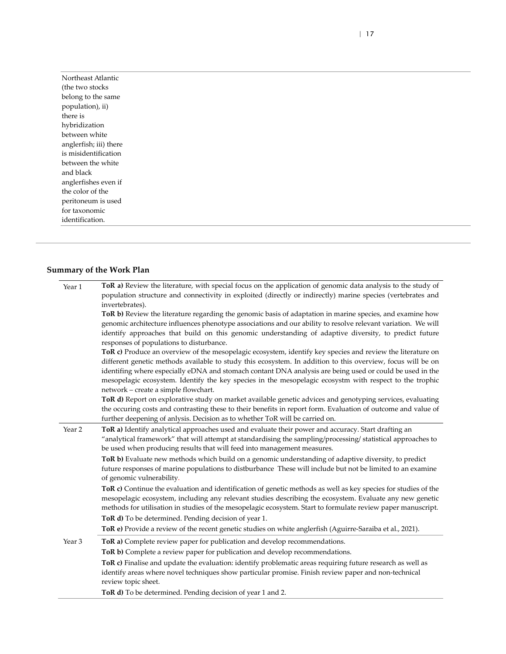Northeast Atlantic (the two stocks belong to the same population), ii) there is hybridization between white anglerfish; iii) there is misidentification between the white and black anglerfishes even if the color of the peritoneum is used for taxonomic identification.

### **Summary of the Work Plan**

| Year 1 | ToR a) Review the literature, with special focus on the application of genomic data analysis to the study of<br>population structure and connectivity in exploited (directly or indirectly) marine species (vertebrates and<br>invertebrates).                                                                                                                                                                                                                                           |
|--------|------------------------------------------------------------------------------------------------------------------------------------------------------------------------------------------------------------------------------------------------------------------------------------------------------------------------------------------------------------------------------------------------------------------------------------------------------------------------------------------|
|        | ToR b) Review the literature regarding the genomic basis of adaptation in marine species, and examine how<br>genomic architecture influences phenotype associations and our ability to resolve relevant variation. We will<br>identify approaches that build on this genomic understanding of adaptive diversity, to predict future<br>responses of populations to disturbance.                                                                                                          |
|        | ToR c) Produce an overview of the mesopelagic ecosystem, identify key species and review the literature on<br>different genetic methods available to study this ecosystem. In addition to this overview, focus will be on<br>identifing where especially eDNA and stomach contant DNA analysis are being used or could be used in the<br>mesopelagic ecosystem. Identify the key species in the mesopelagic ecosystm with respect to the trophic<br>network - create a simple flowchart. |
|        | ToR d) Report on explorative study on market available genetic advices and genotyping services, evaluating<br>the occuring costs and contrasting these to their benefits in report form. Evaluation of outcome and value of<br>further deepening of anlysis. Decision as to whether ToR will be carried on.                                                                                                                                                                              |
| Year 2 | ToR a) Identify analytical approaches used and evaluate their power and accuracy. Start drafting an<br>"analytical framework" that will attempt at standardising the sampling/processing/ statistical approaches to<br>be used when producing results that will feed into management measures.                                                                                                                                                                                           |
|        | ToR b) Evaluate new methods which build on a genomic understanding of adaptive diversity, to predict<br>future responses of marine populations to distburbance These will include but not be limited to an examine<br>of genomic vulnerability.                                                                                                                                                                                                                                          |
|        | ToR c) Continue the evaluation and identification of genetic methods as well as key species for studies of the<br>mesopelagic ecosystem, including any relevant studies describing the ecosystem. Evaluate any new genetic<br>methods for utilisation in studies of the mesopelagic ecosystem. Start to formulate review paper manuscript.                                                                                                                                               |
|        | ToR d) To be determined. Pending decision of year 1.                                                                                                                                                                                                                                                                                                                                                                                                                                     |
|        | ToR e) Provide a review of the recent genetic studies on white anglerfish (Aguirre-Saraiba et al., 2021).                                                                                                                                                                                                                                                                                                                                                                                |
| Year 3 | ToR a) Complete review paper for publication and develop recommendations.                                                                                                                                                                                                                                                                                                                                                                                                                |
|        | ToR b) Complete a review paper for publication and develop recommendations.                                                                                                                                                                                                                                                                                                                                                                                                              |
|        | ToR c) Finalise and update the evaluation: identify problematic areas requiring future research as well as<br>identify areas where novel techniques show particular promise. Finish review paper and non-technical<br>review topic sheet.                                                                                                                                                                                                                                                |
|        | ToR d) To be determined. Pending decision of year 1 and 2.                                                                                                                                                                                                                                                                                                                                                                                                                               |

| 17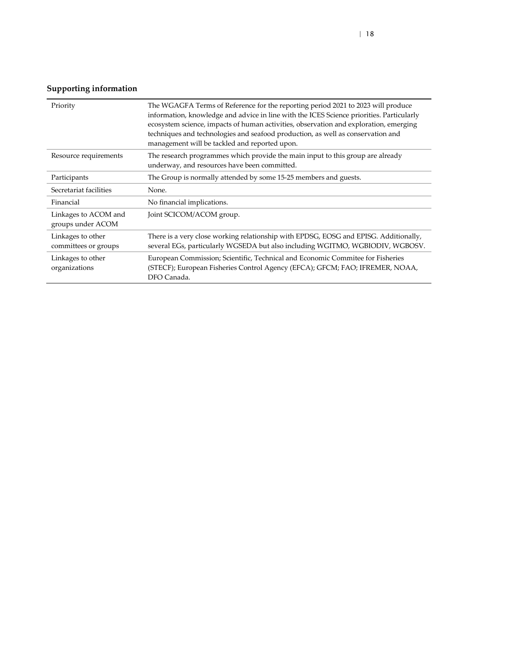| Priority                                  | The WGAGFA Terms of Reference for the reporting period 2021 to 2023 will produce<br>information, knowledge and advice in line with the ICES Science priorities. Particularly<br>ecosystem science, impacts of human activities, observation and exploration, emerging<br>techniques and technologies and seafood production, as well as conservation and<br>management will be tackled and reported upon. |
|-------------------------------------------|-----------------------------------------------------------------------------------------------------------------------------------------------------------------------------------------------------------------------------------------------------------------------------------------------------------------------------------------------------------------------------------------------------------|
| Resource requirements                     | The research programmes which provide the main input to this group are already<br>underway, and resources have been committed.                                                                                                                                                                                                                                                                            |
| Participants                              | The Group is normally attended by some 15-25 members and guests.                                                                                                                                                                                                                                                                                                                                          |
| Secretariat facilities                    | None.                                                                                                                                                                                                                                                                                                                                                                                                     |
| Financial                                 | No financial implications.                                                                                                                                                                                                                                                                                                                                                                                |
| Linkages to ACOM and<br>groups under ACOM | Joint SCICOM/ACOM group.                                                                                                                                                                                                                                                                                                                                                                                  |
| Linkages to other<br>committees or groups | There is a very close working relationship with EPDSG, EOSG and EPISG. Additionally,<br>several EGs, particularly WGSEDA but also including WGITMO, WGBIODIV, WGBOSV.                                                                                                                                                                                                                                     |
| Linkages to other<br>organizations        | European Commission; Scientific, Technical and Economic Commitee for Fisheries<br>(STECF); European Fisheries Control Agency (EFCA); GFCM; FAO; IFREMER, NOAA,<br>DFO Canada.                                                                                                                                                                                                                             |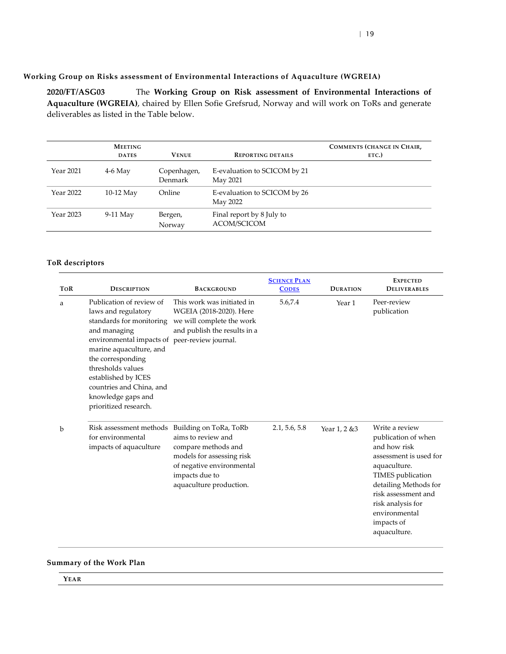#### **Working Group on Risks assessment of Environmental Interactions of Aquaculture (WGREIA)**

<span id="page-18-0"></span>**2020/FT/ASG03** The **Working Group on Risk assessment of Environmental Interactions of Aquaculture (WGREIA)**, chaired by Ellen Sofie Grefsrud, Norway and will work on ToRs and generate deliverables as listed in the Table below.

|           | <b>MEETING</b><br><b>DATES</b> | <b>VENUE</b>           | <b>REPORTING DETAILS</b>                 | <b>COMMENTS (CHANGE IN CHAIR,</b><br>ETC.) |
|-----------|--------------------------------|------------------------|------------------------------------------|--------------------------------------------|
| Year 2021 | $4-6$ May                      | Copenhagen,<br>Denmark | E-evaluation to SCICOM by 21<br>May 2021 |                                            |
| Year 2022 | $10-12$ May                    | Online                 | E-evaluation to SCICOM by 26<br>May 2022 |                                            |
| Year 2023 | 9-11 May                       | Bergen,<br>Norway      | Final report by 8 July to<br>ACOM/SCICOM |                                            |

#### **ToR descriptors**

| <b>TOR</b> | <b>BACKGROUND</b><br><b>DESCRIPTION</b>                                                                                                                                                                                                                                                                             |                                                                                                                                                                            | <b>SCIENCE PLAN</b><br><b>CODES</b> | <b>DURATION</b> | <b>EXPECTED</b><br><b>DELIVERABLES</b>                                                                                                                                                                                                   |  |
|------------|---------------------------------------------------------------------------------------------------------------------------------------------------------------------------------------------------------------------------------------------------------------------------------------------------------------------|----------------------------------------------------------------------------------------------------------------------------------------------------------------------------|-------------------------------------|-----------------|------------------------------------------------------------------------------------------------------------------------------------------------------------------------------------------------------------------------------------------|--|
| a          | Publication of review of<br>laws and regulatory<br>standards for monitoring<br>and managing<br>environmental impacts of peer-review journal.<br>marine aquaculture, and<br>the corresponding<br>thresholds values<br>established by ICES<br>countries and China, and<br>knowledge gaps and<br>prioritized research. | This work was initiated in<br>WGEIA (2018-2020). Here<br>we will complete the work<br>and publish the results in a                                                         | 5.6,7.4                             | Year 1          | Peer-review<br>publication                                                                                                                                                                                                               |  |
| b          | Risk assessment methods<br>for environmental<br>impacts of aquaculture                                                                                                                                                                                                                                              | Building on ToRa, ToRb<br>aims to review and<br>compare methods and<br>models for assessing risk<br>of negative environmental<br>impacts due to<br>aquaculture production. | 2.1, 5.6, 5.8                       | Year 1, 2 & 3   | Write a review<br>publication of when<br>and how risk<br>assessment is used for<br>aquaculture.<br>TIMES publication<br>detailing Methods for<br>risk assessment and<br>risk analysis for<br>environmental<br>impacts of<br>aquaculture. |  |

#### **Summary of the Work Plan**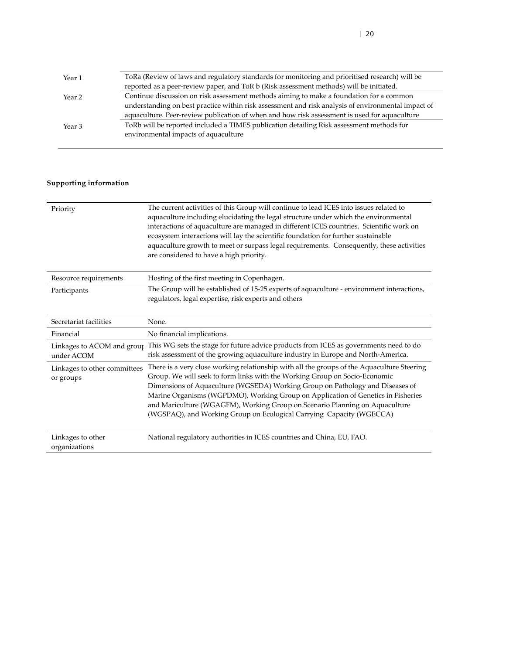| Year 1            | ToRa (Review of laws and regulatory standards for monitoring and prioritised research) will be     |
|-------------------|----------------------------------------------------------------------------------------------------|
|                   | reported as a peer-review paper, and ToR b (Risk assessment methods) will be initiated.            |
| Year <sub>2</sub> | Continue discussion on risk assessment methods aiming to make a foundation for a common            |
|                   | understanding on best practice within risk assessment and risk analysis of environmental impact of |
|                   | aquaculture. Peer-review publication of when and how risk assessment is used for aquaculture       |
| Year <sub>3</sub> | ToRb will be reported included a TIMES publication detailing Risk assessment methods for           |
|                   | environmental impacts of aquaculture                                                               |
|                   |                                                                                                    |

| Priority                                  | The current activities of this Group will continue to lead ICES into issues related to<br>aquaculture including elucidating the legal structure under which the environmental<br>interactions of aquaculture are managed in different ICES countries. Scientific work on<br>ecosystem interactions will lay the scientific foundation for further sustainable<br>aquaculture growth to meet or surpass legal requirements. Consequently, these activities<br>are considered to have a high priority. |
|-------------------------------------------|------------------------------------------------------------------------------------------------------------------------------------------------------------------------------------------------------------------------------------------------------------------------------------------------------------------------------------------------------------------------------------------------------------------------------------------------------------------------------------------------------|
| Resource requirements                     | Hosting of the first meeting in Copenhagen.                                                                                                                                                                                                                                                                                                                                                                                                                                                          |
| Participants                              | The Group will be established of 15-25 experts of aquaculture - environment interactions,<br>regulators, legal expertise, risk experts and others                                                                                                                                                                                                                                                                                                                                                    |
| Secretariat facilities                    | None.                                                                                                                                                                                                                                                                                                                                                                                                                                                                                                |
| Financial                                 | No financial implications.                                                                                                                                                                                                                                                                                                                                                                                                                                                                           |
| Linkages to ACOM and group<br>under ACOM  | This WG sets the stage for future advice products from ICES as governments need to do<br>risk assessment of the growing aquaculture industry in Europe and North-America.                                                                                                                                                                                                                                                                                                                            |
| Linkages to other committees<br>or groups | There is a very close working relationship with all the groups of the Aquaculture Steering<br>Group. We will seek to form links with the Working Group on Socio-Economic<br>Dimensions of Aquaculture (WGSEDA) Working Group on Pathology and Diseases of<br>Marine Organisms (WGPDMO), Working Group on Application of Genetics in Fisheries<br>and Mariculture (WGAGFM), Working Group on Scenario Planning on Aquaculture<br>(WGSPAQ), and Working Group on Ecological Carrying Capacity (WGECCA) |
| Linkages to other<br>organizations        | National regulatory authorities in ICES countries and China, EU, FAO.                                                                                                                                                                                                                                                                                                                                                                                                                                |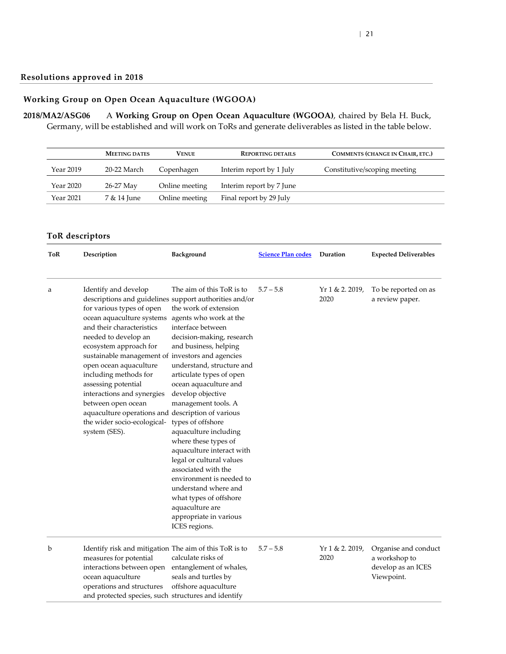### **Working Group on Open Ocean Aquaculture (WGOOA)**

<span id="page-20-1"></span><span id="page-20-0"></span>**2018/MA2/ASG06** A **Working Group on Open Ocean Aquaculture (WGOOA)**, chaired by Bela H. Buck, Germany, will be established and will work on ToRs and generate deliverables as listed in the table below.

|           | <b>MEETING DATES</b> | <b>VENUE</b>   | <b>REPORTING DETAILS</b> | <b>COMMENTS (CHANGE IN CHAIR, ETC.)</b> |
|-----------|----------------------|----------------|--------------------------|-----------------------------------------|
| Year 2019 | 20-22 March          | Copenhagen     | Interim report by 1 July | Constitutive/scoping meeting            |
| Year 2020 | 26-27 May            | Online meeting | Interim report by 7 June |                                         |
| Year 2021 | 7 & 14 June          | Online meeting | Final report by 29 July  |                                         |

| ToR | Description                                                                                                                                                                                                                                                                                                                                                                                                                                                                                                    | Background                                                                                                                                                                                                                                                                                                                                                                                                                                                                                                                                                                              | <b>Science Plan codes</b> | Duration                  | <b>Expected Deliverables</b>                                              |
|-----|----------------------------------------------------------------------------------------------------------------------------------------------------------------------------------------------------------------------------------------------------------------------------------------------------------------------------------------------------------------------------------------------------------------------------------------------------------------------------------------------------------------|-----------------------------------------------------------------------------------------------------------------------------------------------------------------------------------------------------------------------------------------------------------------------------------------------------------------------------------------------------------------------------------------------------------------------------------------------------------------------------------------------------------------------------------------------------------------------------------------|---------------------------|---------------------------|---------------------------------------------------------------------------|
| a   | Identify and develop<br>descriptions and guidelines support authorities and/or<br>for various types of open<br>ocean aquaculture systems<br>and their characteristics<br>needed to develop an<br>ecosystem approach for<br>sustainable management of investors and agencies<br>open ocean aquaculture<br>including methods for<br>assessing potential<br>interactions and synergies<br>between open ocean<br>aquaculture operations and description of various<br>the wider socio-ecological-<br>system (SES). | The aim of this ToR is to<br>the work of extension<br>agents who work at the<br>interface between<br>decision-making, research<br>and business, helping<br>understand, structure and<br>articulate types of open<br>ocean aquaculture and<br>develop objective<br>management tools. A<br>types of offshore<br>aquaculture including<br>where these types of<br>aquaculture interact with<br>legal or cultural values<br>associated with the<br>environment is needed to<br>understand where and<br>what types of offshore<br>aquaculture are<br>appropriate in various<br>ICES regions. | $5.7 - 5.8$               | $Yr 1 & 2.2019$ ,<br>2020 | To be reported on as<br>a review paper.                                   |
| b   | Identify risk and mitigation The aim of this ToR is to<br>measures for potential<br>interactions between open<br>ocean aquaculture<br>operations and structures<br>and protected species, such structures and identify                                                                                                                                                                                                                                                                                         | calculate risks of<br>entanglement of whales,<br>seals and turtles by<br>offshore aquaculture                                                                                                                                                                                                                                                                                                                                                                                                                                                                                           | $5.7 - 5.8$               | $Yr 1 & 2.2019$ ,<br>2020 | Organise and conduct<br>a workshop to<br>develop as an ICES<br>Viewpoint. |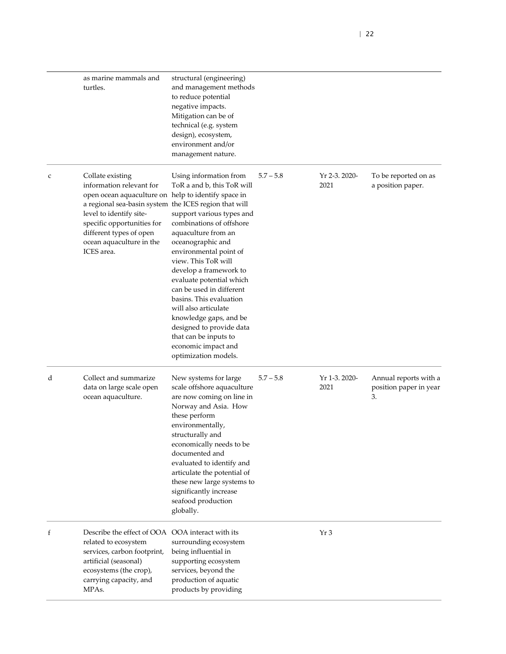|   | as marine mammals and<br>turtles.                                                                                                                                                                                                                                                          | structural (engineering)<br>and management methods<br>to reduce potential<br>negative impacts.<br>Mitigation can be of<br>technical (e.g. system<br>design), ecosystem,<br>environment and/or<br>management nature.                                                                                                                                                                                                                                                           |             |                       |                                                       |
|---|--------------------------------------------------------------------------------------------------------------------------------------------------------------------------------------------------------------------------------------------------------------------------------------------|-------------------------------------------------------------------------------------------------------------------------------------------------------------------------------------------------------------------------------------------------------------------------------------------------------------------------------------------------------------------------------------------------------------------------------------------------------------------------------|-------------|-----------------------|-------------------------------------------------------|
| c | Collate existing<br>information relevant for<br>open ocean aquaculture on help to identify space in<br>a regional sea-basin system the ICES region that will<br>level to identify site-<br>specific opportunities for<br>different types of open<br>ocean aquaculture in the<br>ICES area. | Using information from<br>ToR a and b, this ToR will<br>support various types and<br>combinations of offshore<br>aquaculture from an<br>oceanographic and<br>environmental point of<br>view. This ToR will<br>develop a framework to<br>evaluate potential which<br>can be used in different<br>basins. This evaluation<br>will also articulate<br>knowledge gaps, and be<br>designed to provide data<br>that can be inputs to<br>economic impact and<br>optimization models. | $5.7 - 5.8$ | Yr 2-3. 2020-<br>2021 | To be reported on as<br>a position paper.             |
| d | Collect and summarize<br>data on large scale open<br>ocean aquaculture.                                                                                                                                                                                                                    | New systems for large<br>scale offshore aquaculture<br>are now coming on line in<br>Norway and Asia. How<br>these perform<br>environmentally,<br>structurally and<br>economically needs to be<br>documented and<br>evaluated to identify and<br>articulate the potential of<br>these new large systems to<br>significantly increase<br>seafood production<br>globally.                                                                                                        | $5.7 - 5.8$ | Yr 1-3. 2020-<br>2021 | Annual reports with a<br>position paper in year<br>3. |
| f | Describe the effect of OOA OOA interact with its<br>related to ecosystem<br>services, carbon footprint,<br>artificial (seasonal)<br>ecosystems (the crop),<br>carrying capacity, and<br>MPAs.                                                                                              | surrounding ecosystem<br>being influential in<br>supporting ecosystem<br>services, beyond the<br>production of aquatic<br>products by providing                                                                                                                                                                                                                                                                                                                               |             | Yr3                   |                                                       |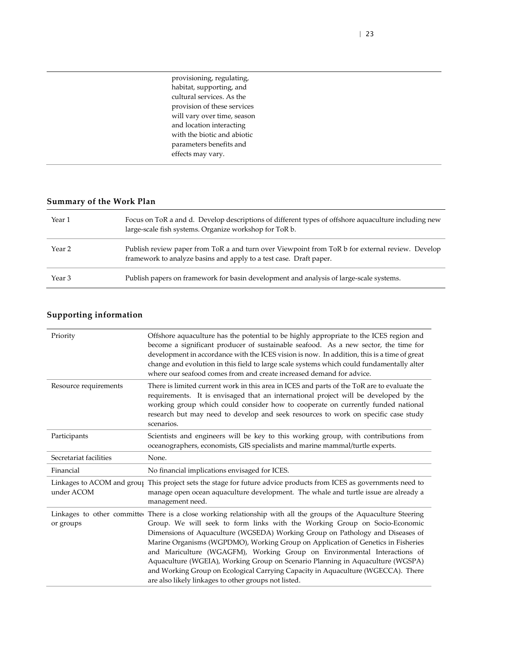| provisioning, regulating,   |
|-----------------------------|
| habitat, supporting, and    |
| cultural services. As the   |
| provision of these services |
| will vary over time, season |
| and location interacting    |
| with the biotic and abiotic |
| parameters benefits and     |
| effects may vary.           |

| Year 1 | Focus on ToR a and d. Develop descriptions of different types of offshore aquaculture including new<br>large-scale fish systems. Organize workshop for ToR b.         |
|--------|-----------------------------------------------------------------------------------------------------------------------------------------------------------------------|
| Year 2 | Publish review paper from ToR a and turn over Viewpoint from ToR b for external review. Develop<br>framework to analyze basins and apply to a test case. Draft paper. |
| Year 3 | Publish papers on framework for basin development and analysis of large-scale systems.                                                                                |

| Priority               | Offshore aquaculture has the potential to be highly appropriate to the ICES region and<br>become a significant producer of sustainable seafood. As a new sector, the time for<br>development in accordance with the ICES vision is now. In addition, this is a time of great<br>change and evolution in this field to large scale systems which could fundamentally alter<br>where our seafood comes from and create increased demand for advice.                                                                                                                                                                                                                              |
|------------------------|--------------------------------------------------------------------------------------------------------------------------------------------------------------------------------------------------------------------------------------------------------------------------------------------------------------------------------------------------------------------------------------------------------------------------------------------------------------------------------------------------------------------------------------------------------------------------------------------------------------------------------------------------------------------------------|
| Resource requirements  | There is limited current work in this area in ICES and parts of the ToR are to evaluate the<br>requirements. It is envisaged that an international project will be developed by the<br>working group which could consider how to cooperate on currently funded national<br>research but may need to develop and seek resources to work on specific case study<br>scenarios.                                                                                                                                                                                                                                                                                                    |
| Participants           | Scientists and engineers will be key to this working group, with contributions from<br>oceanographers, economists, GIS specialists and marine mammal/turtle experts.                                                                                                                                                                                                                                                                                                                                                                                                                                                                                                           |
| Secretariat facilities | None.                                                                                                                                                                                                                                                                                                                                                                                                                                                                                                                                                                                                                                                                          |
| Financial              | No financial implications envisaged for ICES.                                                                                                                                                                                                                                                                                                                                                                                                                                                                                                                                                                                                                                  |
| under ACOM             | Linkages to ACOM and group This project sets the stage for future advice products from ICES as governments need to<br>manage open ocean aquaculture development. The whale and turtle issue are already a<br>management need.                                                                                                                                                                                                                                                                                                                                                                                                                                                  |
| or groups              | Linkages to other committed There is a close working relationship with all the groups of the Aquaculture Steering<br>Group. We will seek to form links with the Working Group on Socio-Economic<br>Dimensions of Aquaculture (WGSEDA) Working Group on Pathology and Diseases of<br>Marine Organisms (WGPDMO), Working Group on Application of Genetics in Fisheries<br>and Mariculture (WGAGFM), Working Group on Environmental Interactions of<br>Aquaculture (WGEIA), Working Group on Scenario Planning in Aquaculture (WGSPA)<br>and Working Group on Ecological Carrying Capacity in Aquaculture (WGECCA). There<br>are also likely linkages to other groups not listed. |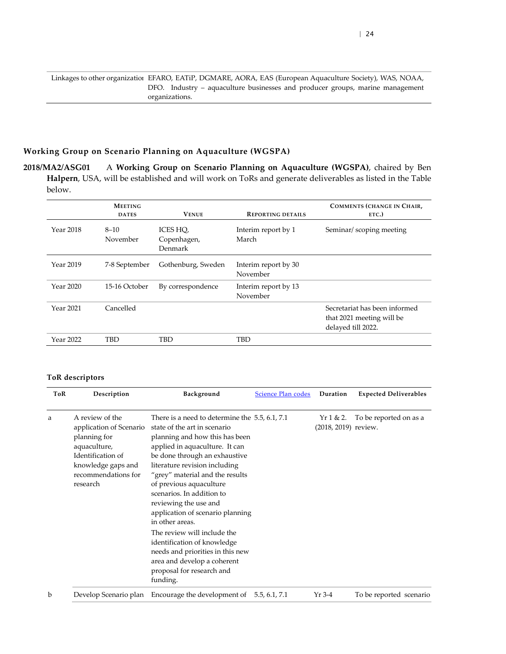Linkages to other organization EFARO, EATiP, DGMARE, AORA, EAS (European Aquaculture Society), WAS, NOAA, DFO. Industry – aquaculture businesses and producer groups, marine management organizations.

#### **Working Group on Scenario Planning on Aquaculture (WGSPA)**

<span id="page-23-0"></span>**2018/MA2/ASG01** A **Working Group on Scenario Planning on Aquaculture (WGSPA)**, chaired by Ben **Halpern**, USA, will be established and will work on ToRs and generate deliverables as listed in the Table below.

|           | <b>MEETING</b><br><b>DATES</b> | <b>VENUE</b>                       | <b>REPORTING DETAILS</b>         | <b>COMMENTS (CHANGE IN CHAIR,</b><br>ETC.)                                       |
|-----------|--------------------------------|------------------------------------|----------------------------------|----------------------------------------------------------------------------------|
| Year 2018 | $8 - 10$<br>November           | ICES HO,<br>Copenhagen,<br>Denmark | Interim report by 1<br>March     | Seminar/scoping meeting                                                          |
| Year 2019 | 7-8 September                  | Gothenburg, Sweden                 | Interim report by 30<br>November |                                                                                  |
| Year 2020 | 15-16 October                  | By correspondence                  | Interim report by 13<br>November |                                                                                  |
| Year 2021 | Cancelled                      |                                    |                                  | Secretariat has been informed<br>that 2021 meeting will be<br>delayed till 2022. |
| Year 2022 | TBD                            | TBD                                | TBD                              |                                                                                  |

| ToR | Description                                                                                                                                              | Background                                                                                                                                                                                                                                                                                                                                                                                        | Science Plan codes | Duration                         | <b>Expected Deliverables</b> |
|-----|----------------------------------------------------------------------------------------------------------------------------------------------------------|---------------------------------------------------------------------------------------------------------------------------------------------------------------------------------------------------------------------------------------------------------------------------------------------------------------------------------------------------------------------------------------------------|--------------------|----------------------------------|------------------------------|
| a   | A review of the<br>application of Scenario<br>planning for<br>aquaculture,<br>Identification of<br>knowledge gaps and<br>recommendations for<br>research | There is a need to determine the $5.5, 6.1, 7.1$<br>state of the art in scenario<br>planning and how this has been<br>applied in aquaculture. It can<br>be done through an exhaustive<br>literature revision including<br>"grey" material and the results<br>of previous aquaculture<br>scenarios. In addition to<br>reviewing the use and<br>application of scenario planning<br>in other areas. |                    | Yr1 & 2.<br>(2018, 2019) review. | To be reported on as a       |
|     |                                                                                                                                                          | The review will include the<br>identification of knowledge<br>needs and priorities in this new<br>area and develop a coherent<br>proposal for research and<br>funding.                                                                                                                                                                                                                            |                    |                                  |                              |
| b   | Develop Scenario plan                                                                                                                                    | Encourage the development of 5.5, 6.1, 7.1                                                                                                                                                                                                                                                                                                                                                        |                    | Yr 3-4                           | To be reported scenario      |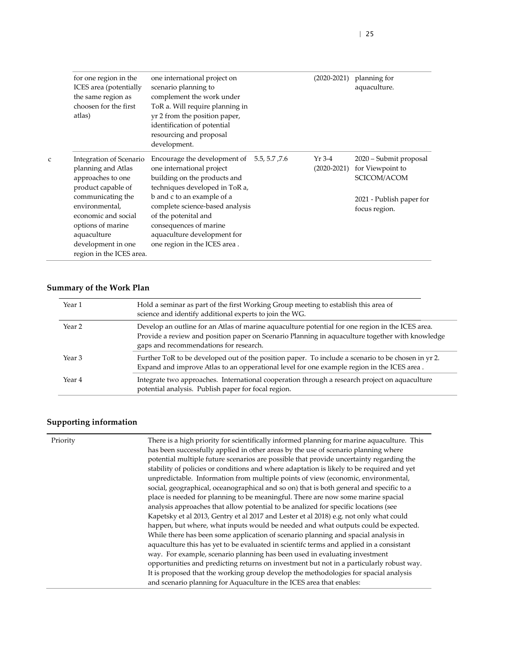|   | for one region in the<br>ICES area (potentially<br>the same region as<br>choosen for the first<br>atlas)                                         | one international project on<br>scenario planning to<br>complement the work under<br>ToR a. Will require planning in<br>yr 2 from the position paper,<br>identification of potential<br>resourcing and proposal<br>development. | $(2020-2021)$               | planning for<br>aquaculture.                              |
|---|--------------------------------------------------------------------------------------------------------------------------------------------------|---------------------------------------------------------------------------------------------------------------------------------------------------------------------------------------------------------------------------------|-----------------------------|-----------------------------------------------------------|
| C | Integration of Scenario<br>planning and Atlas<br>approaches to one<br>product capable of                                                         | Encourage the development of $5.5, 5.7, 7.6$<br>one international project<br>building on the products and<br>techniques developed in ToR a,                                                                                     | $Yr$ 3-4<br>$(2020 - 2021)$ | 2020 – Submit proposal<br>for Viewpoint to<br>SCICOM/ACOM |
|   | communicating the<br>environmental,<br>economic and social<br>options of marine<br>aquaculture<br>development in one<br>region in the ICES area. | b and c to an example of a<br>complete science-based analysis<br>of the potenital and<br>consequences of marine<br>aquaculture development for<br>one region in the ICES area.                                                  |                             | 2021 - Publish paper for<br>focus region.                 |

| Year 1            | Hold a seminar as part of the first Working Group meeting to establish this area of<br>science and identify additional experts to join the WG.                                                                                                |
|-------------------|-----------------------------------------------------------------------------------------------------------------------------------------------------------------------------------------------------------------------------------------------|
| Year 2            | Develop an outline for an Atlas of marine aquaculture potential for one region in the ICES area.<br>Provide a review and position paper on Scenario Planning in aquaculture together with knowledge<br>gaps and recommendations for research. |
| Year 3            | Further ToR to be developed out of the position paper. To include a scenario to be chosen in yr 2.<br>Expand and improve Atlas to an opperational level for one example region in the ICES area.                                              |
| Year <sub>4</sub> | Integrate two approaches. International cooperation through a research project on aquaculture<br>potential analysis. Publish paper for focal region.                                                                                          |

| Priority | There is a high priority for scientifically informed planning for marine aquaculture. This<br>has been successfully applied in other areas by the use of scenario planning where |
|----------|----------------------------------------------------------------------------------------------------------------------------------------------------------------------------------|
|          | potential multiple future scenarios are possible that provide uncertainty regarding the                                                                                          |
|          | stability of policies or conditions and where adaptation is likely to be required and yet                                                                                        |
|          | unpredictable. Information from multiple points of view (economic, environmental,                                                                                                |
|          | social, geographical, oceanographical and so on) that is both general and specific to a                                                                                          |
|          | place is needed for planning to be meaningful. There are now some marine spacial                                                                                                 |
|          | analysis approaches that allow potential to be analized for specific locations (see                                                                                              |
|          | Kapetsky et al 2013, Gentry et al 2017 and Lester et al 2018) e.g. not only what could                                                                                           |
|          | happen, but where, what inputs would be needed and what outputs could be expected.                                                                                               |
|          | While there has been some application of scenario planning and spacial analysis in                                                                                               |
|          | aquaculture this has yet to be evaluated in scientifc terms and applied in a consistant                                                                                          |
|          | way. For example, scenario planning has been used in evaluating investment                                                                                                       |
|          | opportunities and predicting returns on investment but not in a particularly robust way.                                                                                         |
|          | It is proposed that the working group develop the methodologies for spacial analysis                                                                                             |
|          | and scenario planning for Aquaculture in the ICES area that enables:                                                                                                             |